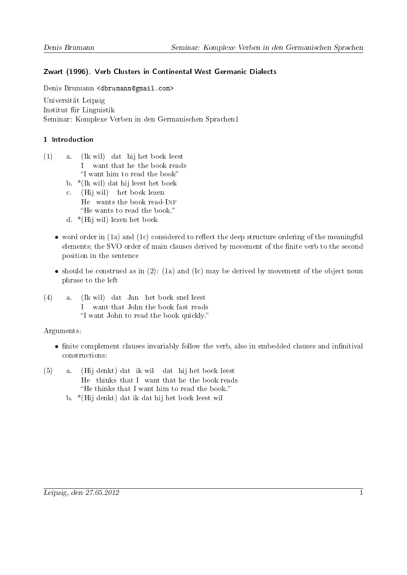# Zwart (1996). Verb Clusters in Continental West Germanic Dialects

Denis Brumann <dbrumann@gmail.com>

Universität Leipzig Institut für Linguistik Seminar: Komplexe Verben in den Germanischen Sprachen1

## 1 Introduction

- (1) a. (Ik wil) dat hij het boek leest I want that he the book reads "I want him to read the book"
	- b. \*(Ik wil) dat hij leest het boek
	- c. (Hij wil) het boek lezen He wants the book read-INF "He wants to read the book."
	- d. \*(Hij wil) lezen het boek
	- word order in  $(1a)$  and  $(1c)$  considered to reflect the deep structure ordering of the meaningful elements; the SVO order of main clauses derived by movement of the finite verb to the second position in the sentence
	- should be construed as in  $(2)$ :  $(1a)$  and  $(Ic)$  may be derived by movement of the object noun phrase to the left
- (4) a. (Ik wil) dat Jan het boek snel leest I want that John the book fast reads "I want John to read the book quickly."

Arguments:

- finite complement clauses invariably follow the verb, also in embedded clauses and infinitival constructions:
- (5) a. (Hij denkt) dat ik wil dat hij het boek leest He thinks that I want that he the book reads "He thinks that I want him to read the book."
	- b. \*(Hij denkt) dat ik dat hij het boek leest wil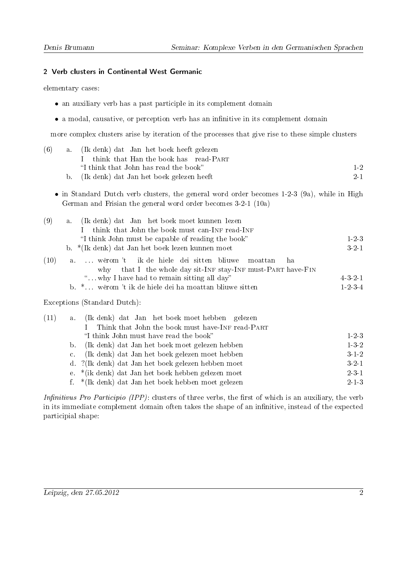#### 2 Verb clusters in Continental West Germanic

elementary cases:

- an auxiliary verb has a past participle in its complement domain
- $\bullet$  a modal, causative, or perception verb has an infinitive in its complement domain

more complex clusters arise by iteration of the processes that give rise to these simple clusters

| (6)  | (Ik denk) dat Jan het boek heeft gelezen<br>a <sub>1</sub>                                                                                                     |                 |
|------|----------------------------------------------------------------------------------------------------------------------------------------------------------------|-----------------|
|      | think that Han the book has read-PART<br>L                                                                                                                     |                 |
|      | "I think that John has read the book"                                                                                                                          | $1-2$           |
|      | (Ik denk) dat Jan het boek gelezen heeft<br>$\mathbf{b}$ .                                                                                                     | 2 1             |
|      | • in Standard Dutch verb clusters, the general word order becomes $1-2-3$ (9a), while in High<br>German and Frisian the general word order becomes 3-2-1 (10a) |                 |
| (9)  | (Ik denk) dat Jan het boek moet kunnen lezen<br>a <sub>1</sub>                                                                                                 |                 |
|      | think that John the book must can-INF read-INF<br>L                                                                                                            |                 |
|      | "I think John must be capable of reading the book"                                                                                                             | $1 - 2 - 3$     |
|      | b. *(Ik denk) dat Jan het boek lezen kunnen moet                                                                                                               | $3 - 2 - 1$     |
| (10) | wêrom't ik de hiele dei sitten bliuwe<br>moattan<br>a.<br>why that I the whole day sit-INF stay-INF must-PART have-FIN                                         | ha              |
|      | " why I have had to remain sitting all day"                                                                                                                    | 4321            |
|      | b. * wêrom 't ik de hiele dei ha moattan bliuwe sitten                                                                                                         | $1 - 2 - 3 - 4$ |
|      | Exceptions (Standard Dutch):                                                                                                                                   |                 |
| (11) | (Ik denk) dat Jan het boek moet hebben gelezen<br>a.                                                                                                           |                 |
|      | Think that John the book must have-INF read-PART<br>$\mathbf{I}$                                                                                               |                 |
|      | "I think John must have read the book"                                                                                                                         | $1-2-3$         |
|      | (Ik denk) dat Jan het boek moet gelezen hebben<br>b.                                                                                                           | $1-3-2$         |
|      | (Ik denk) dat Jan het boek gelezen moet hebben<br>c.                                                                                                           | $3 - 1 - 2$     |
|      | ?(Ik denk) dat Jan het boek gelezen hebben moet<br>$d_{\cdot}$                                                                                                 | 3.2.1           |
|      | *(ik denk) dat Jan het boek hebben gelezen moet<br>e.                                                                                                          | $2 - 3 - 1$     |
|      | *(Ik denk) dat Jan het boek hebben moet gelezen<br>f.                                                                                                          | $2 - 1 - 3$     |

Infinitivus Pro Participio (IPP): clusters of three verbs, the first of which is an auxiliary, the verb in its immediate complement domain often takes the shape of an infinitive, instead of the expected participial shape: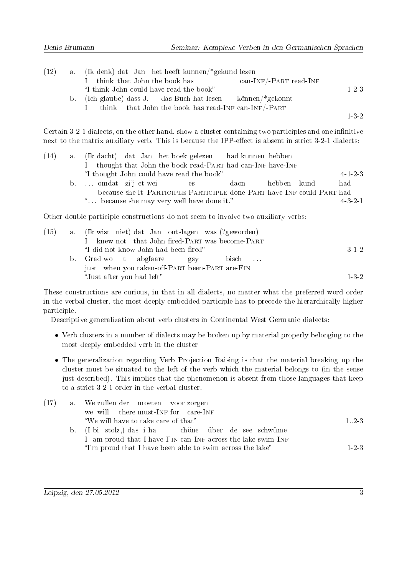| (12) | a. (Ik denk) dat Jan het heeft kunnen/*gekund lezen                                    |         |
|------|----------------------------------------------------------------------------------------|---------|
|      | $\text{can-INF}/\text{-PART read-INF}$<br>think that John the book has<br>$\mathbf{L}$ |         |
|      | "I think John could have read the book"                                                | $1-2.3$ |
|      | b. (Ich glaube) dass J. das Buch hat lesen können/*gekonnt                             |         |
|      | think that John the book has read-INF can-INF/-PART                                    |         |
|      |                                                                                        | $1-3-2$ |

Certain 3-2-1 dialects, on the other hand, show a cluster containing two participles and one infinitive next to the matrix auxiliary verb. This is because the IPP-effect is absent in strict 3-2-1 dialects:

| (14) |                                            |  |       | a. (Ik dacht) dat Jan het boek gelezen had kunnen hebben               |             |                 |
|------|--------------------------------------------|--|-------|------------------------------------------------------------------------|-------------|-----------------|
|      |                                            |  |       | thought that John the book read-PART had can-INF have-INF              |             |                 |
|      | "I thought John could have read the book"  |  |       |                                                                        |             | $4 - 1 - 2 - 3$ |
|      | b. omdat zi'j et wei                       |  | es es | daon                                                                   | hebben kund | had             |
|      |                                            |  |       | because she it PARTICIPLE PARTICIPLE done-PART have-INF could-PART had |             |                 |
|      | " because she may very well have done it." |  |       |                                                                        |             | $4.3 - 2.1$     |

Other double participle constructions do not seem to involve two auxiliary verbs:

| (15) | a. (Ik wist niet) dat Jan ontslagen was (?geworden) |                     |
|------|-----------------------------------------------------|---------------------|
|      | I knew not that John fired-PART was become-PART     |                     |
|      | "I did not know John had been fired"                | $3 \cdot 1 \cdot 2$ |
|      | b. Grad wo t abgfaare gsy<br>bisch                  |                     |
|      | just when you taken-off-PART been-PART are-FIN      |                     |
|      | "Just after you had left"                           | 132                 |

These constructions are curious, in that in all dialects, no matter what the preferred word order in the verbal cluster, the most deeply embedded participle has to precede the hierarchically higher participle.

Descriptive generalization about verb clusters in Continental West Germanic dialects:

- Verb clusters in a number of dialects may be broken up by material properly belonging to the most deeply embedded verb in the cluster
- The generalization regarding Verb Projection Raising is that the material breaking up the cluster must be situated to the left of the verb which the material belongs to (in the sense just described). This implies that the phenomenon is absent from those languages that keep to a strict 3-2-1 order in the verbal cluster.

| (17) | a. We zullen der moeten voor zorgen                                                                                      |       |
|------|--------------------------------------------------------------------------------------------------------------------------|-------|
|      | we will there must-INF for care-INF                                                                                      |       |
|      | "We will have to take care of that"                                                                                      | 1.2.3 |
|      | b. (I bi stolz,) das i ha chöne über de see schwüme                                                                      |       |
|      | I am proud that I have-FIN can-INF across the lake swim-INF<br>"I'm proud that I have been able to swim across the lake" | 1.2.3 |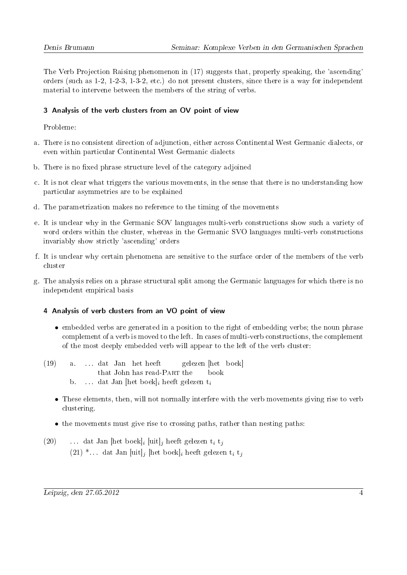The Verb Projection Raising phenomenon in (17) suggests that, properly speaking, the 'ascending' orders (such as 1-2, 1-2-3, 1-3-2, etc.) do not present clusters, since there is a way for independent material to intervene between the members of the string of verbs.

## 3 Analysis of the verb clusters from an OV point of view

Probleme:

- a. There is no consistent direction of adjunction, either across Continental West Germanic dialects, or even within particular Continental West Germanic dialects
- b. There is no fixed phrase structure level of the category adjoined
- c. It is not clear what triggers the various movements, in the sense that there is no understanding how particular asymmetries are to be explained
- d. The parametrization makes no reference to the timing of the movements
- e. It is unclear why in the Germanic SOV languages multi-verb constructions show such a variety of word orders within the cluster, whereas in the Germanic SVO languages multi-verb constructions invariably show strictly 'ascending' orders
- f. It is unclear why certain phenomena are sensitive to the surface order of the members of the verb cluster
- g. The analysis relies on a phrase structural split among the Germanic languages for which there is no independent empirical basis

### 4 Analysis of verb clusters from an VO point of view

- embedded verbs are generated in a position to the right of embedding verbs; the noun phrase complement of a verb is moved to the left. In cases of multi-verb constructions, the complement of the most deeply embedded verb will appear to the left of the verb cluster:
- (19) a. . . . dat Jan het heeft that John has read-PART the gelezen [het boek] book b. . . . dat Jan [het boek]<sub>i</sub> heeft gelezen  $t_i$ 
	- These elements, then, will not normally interfere with the verb movements giving rise to verb clustering.
	- the movements must give rise to crossing paths, rather than nesting paths:
- (20)  $\ldots$  dat Jan [het boek]<sub>i</sub> [uit]<sub>j</sub> heeft gelezen t<sub>i</sub> t<sub>j</sub> (21)  $*...$  dat Jan [uit]<sub>j</sub> [het boek]<sub>i</sub> heeft gelezen t<sub>i</sub> t<sub>j</sub>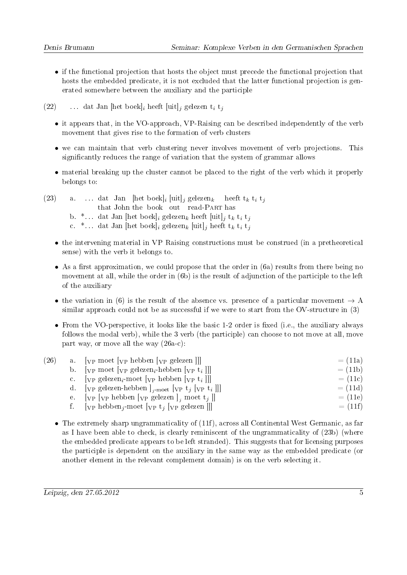- if the functional projection that hosts the object must precede the functional projection that hosts the embedded predicate, it is not excluded that the latter functional projection is generated somewhere between the auxiliary and the participle
- (22) ... dat Jan [het boek]<sub>i</sub> heeft [uit]<sub>j</sub> gelezen t<sub>i</sub> t<sub>j</sub>
	- it appears that, in the VO-approach, VP-Raising can be described independently of the verb movement that gives rise to the formation of verb clusters
	- we can maintain that verb clustering never involves movement of verb projections. This signicantly reduces the range of variation that the system of grammar allows
	- material breaking up the cluster cannot be placed to the right of the verb which it properly belongs to:
- (23) a. ... dat Jan [het boek]<sub>i</sub> [uit]<sub>j</sub> gelezen<sub>k</sub> that John the book out read-PART has heeft  $t_k$   $t_i$   $t_j$ b.  $*...$  dat Jan [het boek]<sub>i</sub> gelezen<sub>k</sub> heeft [uit]<sub>j</sub> t<sub>k</sub> t<sub>i</sub> t<sub>j</sub> c. \*... dat Jan [het boek]<sub>i</sub> gelezen<sub>k</sub> [uit]<sub>j</sub> heeft t<sub>k</sub> t<sub>i</sub> t<sub>j</sub>
	- the intervening material in VP Raising constructions must be construed (in a pretheoretical sense) with the verb it belongs to.
	- As a first approximation, we could propose that the order in  $(6a)$  results from there being no movement at all, while the order in (6b) is the result of adjunction of the participle to the left of the auxiliary
	- the variation in (6) is the result of the absence vs. presence of a particular movement  $\rightarrow$  A similar approach could not be as successful if we were to start from the OV-structure in (3)
	- From the VO-perspective, it looks like the basic 1-2 order is fixed (i.e., the auxiliary always follows the modal verb), while the 3 verb (the participle) can choose to not move at all, move part way, or move all the way (26a-c):

| (26) | a. $[\text{VP} \text{ moet } [\text{VP} \text{ hebben } [\text{VP} \text{ gelezen}]]]$                                      | $= (11a)$ |
|------|-----------------------------------------------------------------------------------------------------------------------------|-----------|
|      | b. [ $VP$ moet $[VP]$ gelezen <sub>i</sub> -hebben $[VP]$ t <sub>i</sub> ]]                                                 | $= (11b)$ |
|      | c. $[\nabla \mathbf{p} \text{ gelezen}_i \text{-meet } [\nabla \mathbf{p} \text{ hebben } [\nabla \mathbf{p} \text{ t}_i]]$ | $= (11c)$ |
|      | d. [ <sub>VP</sub> gelezen-hebben] <sub>j-moet</sub> [ <sub>VP</sub> t <sub>j</sub> [ <sub>VP</sub> t <sub>i</sub> ]]]      | $= (11d)$ |
|      | e. $[\text{v}_P \text{ [v}_P \text{ hebben } [\text{v}_P \text{ gelezen }]_i \text{ moet } t_j]]$                           | $= (11e)$ |
|      | f. $[\text{VP} \text{ hebben}_i\text{-}\text{moet} [\text{VP} \text{ t}_i] [\text{VP} \text{ gelezen}]]$                    | $= (11f)$ |
|      |                                                                                                                             |           |

• The extremely sharp ungrammaticality of (11f), across all Continental West Germanic, as far as I have been able to check, is clearly reminiscent of the ungrammaticality of (23b) (where the embedded predicate appears to be left stranded). This suggests that for licensing purposes the participle is dependent on the auxiliary in the same way as the embedded predicate (or another element in the relevant complement domain) is on the verb selecting it.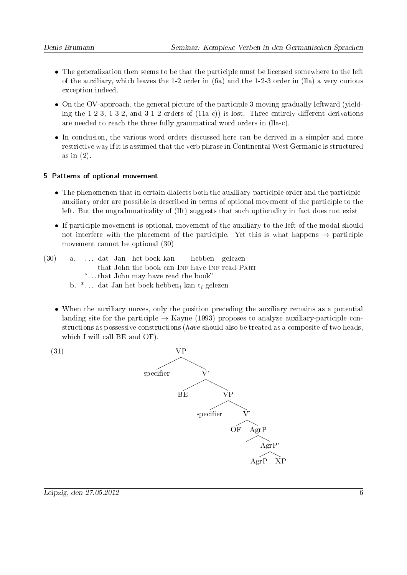- The generalization then seems to be that the participle must be licensed somewhere to the left of the auxiliary, which leaves the 1-2 order in (6a) and the 1-2-3 order in (lla) a very curious exception indeed.
- On the OV-approach, the general picture of the participle 3 moving gradually leftward (yielding the 1-2-3, 1-3-2, and 3-1-2 orders of  $(11a-c)$  is lost. Three entirely different derivations are needed to reach the three fully grammatical word orders in (lla-c).
- In conclusion, the various word orders discussed here can be derived in a simpler and more restrictive way if it is assumed that the verb phrase in Continental West Germanic is structured as in (2).

### 5 Patterns of optional movement

- The phenomenon that in certain dialects both the auxiliary-participle order and the participleauxiliary order are possible is described in terms of optional movement of the participle to the left. But the ungraInmaticality of (lIt) suggests that such optionality in fact does not exist
- If participle movement is optional, movement of the auxiliary to the left of the modal should not interfere with the placement of the participle. Yet this is what happens  $\rightarrow$  participle movement cannot be optional (30)
- (30) a. . . . dat Jan het boek kan that John the book can-INF have-INF read-PART hebben gelezen . . . that John may have read the book b.  $*...$  dat Jan het boek hebben<sub>i</sub> kan t<sub>i</sub> gelezen
	- When the auxiliary moves, only the position preceding the auxiliary remains as a potential landing site for the participle  $\rightarrow$  Kayne (1993) proposes to analyze auxiliary-participle constructions as possessive constructions (have should also be treated as a composite of two heads, which I will call BE and OF).

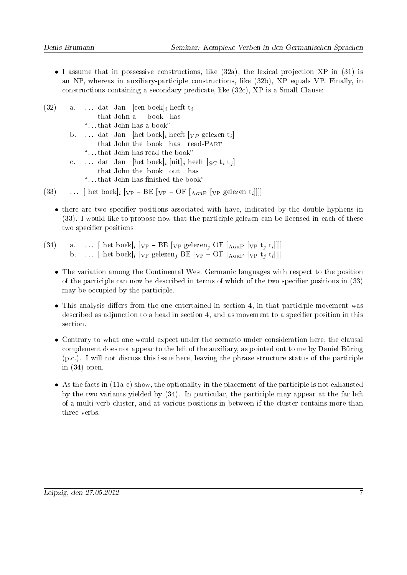- I assume that in possessive constructions, like  $(32a)$ , the lexical projection XP in  $(31)$  is an NP, whereas in auxiliary-participle constructions, like (32b), XP equals VP. Finally, in constructions containing a secondary predicate, like (32c), XP is a Small Clause:
- $(32)$  a... dat Jan [een boek]<sub>i</sub> heeft t<sub>i</sub> that John a book has . . . that John has a book b. ... dat Jan [het boek]<sub>i</sub> heeft  $\lbrack_{VP}$  gelezen t<sub>i</sub>] that John the book has read-PART . . . that John has read the book c. ... dat Jan [het boek]<sub>i</sub> [uit]<sub>j</sub> heeft [ $_{SC}$  t<sub>i</sub> t<sub>j</sub>] that John the book out has "...that John has finished the book" (33)  $\ldots$  [ het boek]<sub>i</sub> [<sub>VP</sub> - BE [<sub>VP</sub> - OF [<sub>AGRP</sub> [<sub>VP</sub> gelezen t<sub>i</sub>]]]]
	- $\bullet$  there are two specifier positions associated with have, indicated by the double hyphens in (33). I would like to propose now that the participle gelezen can be licensed in each of these two specifier positions
- (34) a. ...  $[\text{het boek}]_i [\text{vp } \text{BE} [\text{vp gelezen}_j \text{OF} [\text{A}_{GRP} [\text{vp } t_j t_i]]]]$ b. ...  $\left[ \text{ het boek} \right]_i \left[ \text{VP gelezen}_j \text{BE} \left[ \text{VP} - \text{OF} \left[ \text{A}_{\text{GRP}} \left[ \text{VP} t_j \text{t}_i \right] \right] \right] \right]$ 
	- The variation among the Continental West Germanic languages with respect to the position of the participle can now be described in terms of which of the two specifier positions in  $(33)$ may be occupied by the participle.
	- $\bullet$  This analysis differs from the one entertained in section 4, in that participle movement was described as adjunction to a head in section 4, and as movement to a specifier position in this section.
	- Contrary to what one would expect under the scenario under consideration here, the clausal complement does not appear to the left of the auxiliary, as pointed out to me by Daniel Büring (p.c.). I will not discuss this issue here, leaving the phrase structure status of the participle in (34) open.
	- As the facts in (11a-c) show, the optionality in the placement of the participle is not exhausted by the two variants yielded by (34). In particular, the participle may appear at the far left of a multi-verb cluster, and at various positions in between if the cluster contains more than three verbs.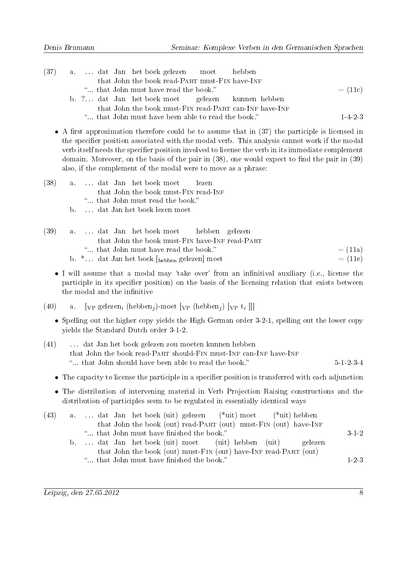|  |  | (37) a dat Jan het boek gelezen moet hebben            |  |           |
|--|--|--------------------------------------------------------|--|-----------|
|  |  | that John the book read-PART must-FIN have-INF         |  |           |
|  |  | " that John must have read the book."                  |  | $= (11c)$ |
|  |  | b. ? dat Jan het boek moet gelezen kunnen hebben       |  |           |
|  |  | that John the book must-FIN read-PART can-INF have-INF |  |           |
|  |  | " that John must have been able to read the book."     |  | 1.4.2.3   |

• A first approximation therefore could be to assume that in  $(37)$  the participle is licensed in the specifier position associated with the modal verb. This analysis cannot work if the modal verb itself needs the specifier position involved to license the verb in its immediate complement domain. Moreover, on the basis of the pair in  $(38)$ , one would expect to find the pair in  $(39)$ also, if the complement of the modal were to move as a phrase:

- (38) a. . . . dat Jan het boek moet that John the book must-FIN read-INF lezen ... that John must read the book.
	- b. . . . dat Jan het boek lezen moet

| (39) |  |  |  | a dat Jan het boek moet hebben gelezen                              |                                                |           |           |
|------|--|--|--|---------------------------------------------------------------------|------------------------------------------------|-----------|-----------|
|      |  |  |  |                                                                     | that John the book must-FIN have-INF read-PART |           |           |
|      |  |  |  | " that John must have read the book."                               |                                                | $= (11a)$ |           |
|      |  |  |  | b. $*$ dat Jan het boek $\lceil_{\text{hebben}}\rceil$ gelezen moet |                                                |           | $= (11e)$ |

- I will assume that a modal may 'take over' from an infinitival auxiliary (i.e., license the participle in its specifier position) on the basis of the licensing relation that exists between the modal and the infinitive
- (40) a. [<sub>VP</sub> gelezen<sub>i</sub> (hebben<sub>j</sub>)-moet [<sub>VP</sub> (hebben<sub>j</sub>) [<sub>VP</sub> t<sub>i</sub>]]]
	- Spelling out the higher copy yields the High German order 3-2-1, spelling out the lower copy yields the Standard Dutch order 3-1-2.
- (41) . . . dat Jan het boek gelezen zou moeten kunnen hebben that John the book read-PART should-FIN must-INF can-INF have-INF "... that John should have been able to read the book."  $5-1-2-3-4$ 
	- The capacity to license the participle in a specifier position is transferred with each adjunction
	- The distribution of intervening material in Verb Projection Raising constructions and the distribution of participles seem to be regulated in essentially identical ways

| (43) | a dat Jan het boek (uit) gelezen (*uit) moet (*uit) hebben       |       |
|------|------------------------------------------------------------------|-------|
|      | that John the book (out) read-PART (out) must-FIN (out) have-INF |       |
|      | " that John must have finished the book."                        | 3 1 2 |
|      | b dat Jan het boek (uit) moet (uit) hebben (uit) gelezen         |       |
|      | that John the book (out) must-FIN (out) have-INF read-PART (out) |       |
|      | " that John must have finished the book."                        | 1.2.3 |
|      |                                                                  |       |